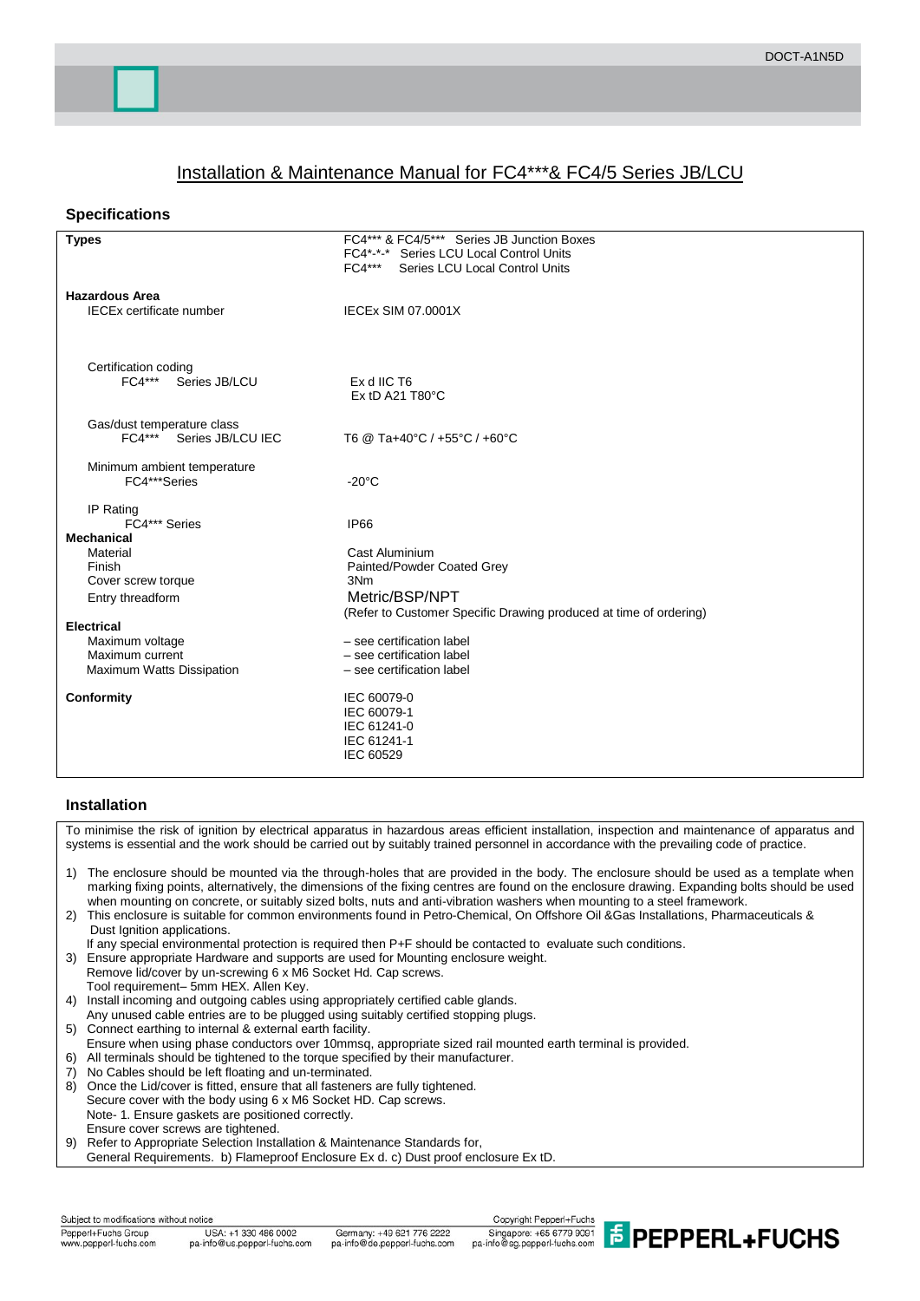# Installation & Maintenance Manual for FC4\*\*\*& FC4/5 Series JB/LCU

## **Specifications**

| <b>Types</b>                                 | FC4*** & FC4/5*** Series JB Junction Boxes                        |
|----------------------------------------------|-------------------------------------------------------------------|
|                                              | FC4*-*-* Series LCU Local Control Units                           |
|                                              | $FC4***$<br>Series LCU Local Control Units                        |
|                                              |                                                                   |
| <b>Hazardous Area</b>                        |                                                                   |
| <b>IECEx certificate number</b>              | <b>IECEX SIM 07.0001X</b>                                         |
|                                              |                                                                   |
|                                              |                                                                   |
|                                              |                                                                   |
| Certification coding<br>FC4*** Series JB/LCU | Ex d IIC T6                                                       |
|                                              | Ex tD A21 T80°C                                                   |
|                                              |                                                                   |
| Gas/dust temperature class                   |                                                                   |
| FC4*** Series JB/LCU IEC                     | T6 @ Ta+40°C / +55°C / +60°C                                      |
|                                              |                                                                   |
| Minimum ambient temperature                  |                                                                   |
| FC4***Series                                 | $-20^{\circ}$ C                                                   |
|                                              |                                                                   |
| IP Rating                                    |                                                                   |
| FC4*** Series                                | IP66                                                              |
| <b>Mechanical</b>                            |                                                                   |
| Material<br>Finish                           | Cast Aluminium                                                    |
| Cover screw torque                           | Painted/Powder Coated Grey<br>3Nm                                 |
|                                              | Metric/BSP/NPT                                                    |
| Entry threadform                             |                                                                   |
| <b>Electrical</b>                            | (Refer to Customer Specific Drawing produced at time of ordering) |
| Maximum voltage                              | - see certification label                                         |
| Maximum current                              | - see certification label                                         |
| Maximum Watts Dissipation                    | - see certification label                                         |
|                                              |                                                                   |
| Conformity                                   | IEC 60079-0                                                       |
|                                              | IEC 60079-1                                                       |
|                                              | IEC 61241-0                                                       |
|                                              | IEC 61241-1                                                       |
|                                              | IEC 60529                                                         |
|                                              |                                                                   |

## **Installation**

To minimise the risk of ignition by electrical apparatus in hazardous areas efficient installation, inspection and maintenance of apparatus and systems is essential and the work should be carried out by suitably trained personnel in accordance with the prevailing code of practice.

- 1) The enclosure should be mounted via the through-holes that are provided in the body. The enclosure should be used as a template when marking fixing points, alternatively, the dimensions of the fixing centres are found on the enclosure drawing. Expanding bolts should be used when mounting on concrete, or suitably sized bolts, nuts and anti-vibration washers when mounting to a steel framework.
- 2) This enclosure is suitable for common environments found in Petro-Chemical, On Offshore Oil &Gas Installations, Pharmaceuticals & Dust Ignition applications.
- If any special environmental protection is required then P+F should be contacted to evaluate such conditions.
- 3) Ensure appropriate Hardware and supports are used for Mounting enclosure weight. Remove lid/cover by un-screwing 6 x M6 Socket Hd. Cap screws.
- Tool requirement– 5mm HEX. Allen Key. 4) Install incoming and outgoing cables using appropriately certified cable glands.
- Any unused cable entries are to be plugged using suitably certified stopping plugs.
- 5) Connect earthing to internal & external earth facility.
- Ensure when using phase conductors over 10mmsq, appropriate sized rail mounted earth terminal is provided.
- 6) All terminals should be tightened to the torque specified by their manufacturer.
- 7) No Cables should be left floating and un-terminated.
- 8) Once the Lid/cover is fitted, ensure that all fasteners are fully tightened.
- Secure cover with the body using 6 x M6 Socket HD. Cap screws.
- Note- 1. Ensure gaskets are positioned correctly.
- Ensure cover screws are tightened.<br>9) Refer to Appropriate Selection Insta
- Refer to Appropriate Selection Installation & Maintenance Standards for, General Requirements. b) Flameproof Enclosure Ex d. c) Dust proof enclosure Ex tD.

Subject to modifications without notice Pepperl+Fuchs Group www.pepperl-fuchs.com

Germany: +49 621 776 2222 pa-info@de.pepperl-fuchs.com

Copyright Pepperl+Fuchs Singapore: +65 6779 9091<br>pa-info@sg.pepperl-fuchs.com